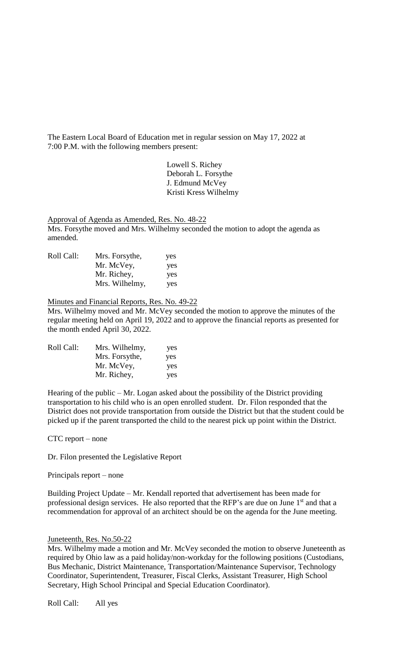The Eastern Local Board of Education met in regular session on May 17, 2022 at 7:00 P.M. with the following members present:

> Lowell S. Richey Deborah L. Forsythe J. Edmund McVey Kristi Kress Wilhelmy

Approval of Agenda as Amended, Res. No. 48-22

Mrs. Forsythe moved and Mrs. Wilhelmy seconded the motion to adopt the agenda as amended.

| Roll Call: | Mrs. Forsythe, | yes |
|------------|----------------|-----|
|            | Mr. McVey,     | yes |
|            | Mr. Richey,    | yes |
|            | Mrs. Wilhelmy, | yes |

## Minutes and Financial Reports, Res. No. 49-22

Mrs. Wilhelmy moved and Mr. McVey seconded the motion to approve the minutes of the regular meeting held on April 19, 2022 and to approve the financial reports as presented for the month ended April 30, 2022.

| Roll Call: | Mrs. Wilhelmy, | yes |
|------------|----------------|-----|
|            | Mrs. Forsythe, | yes |
|            | Mr. McVey,     | yes |
|            | Mr. Richey,    | yes |

Hearing of the public  $-Mr$ . Logan asked about the possibility of the District providing transportation to his child who is an open enrolled student. Dr. Filon responded that the District does not provide transportation from outside the District but that the student could be picked up if the parent transported the child to the nearest pick up point within the District.

CTC report – none

Dr. Filon presented the Legislative Report

Principals report – none

Building Project Update – Mr. Kendall reported that advertisement has been made for professional design services. He also reported that the RFP's are due on June 1<sup>st</sup> and that a recommendation for approval of an architect should be on the agenda for the June meeting.

## Juneteenth, Res. No.50-22

Mrs. Wilhelmy made a motion and Mr. McVey seconded the motion to observe Juneteenth as required by Ohio law as a paid holiday/non-workday for the following positions (Custodians, Bus Mechanic, District Maintenance, Transportation/Maintenance Supervisor, Technology Coordinator, Superintendent, Treasurer, Fiscal Clerks, Assistant Treasurer, High School Secretary, High School Principal and Special Education Coordinator).

Roll Call: All yes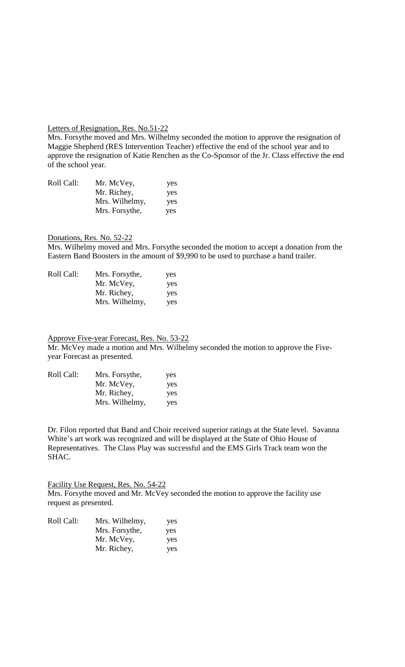## Letters of Resignation, Res. No.51-22

Mrs. Forsythe moved and Mrs. Wilhelmy seconded the motion to approve the resignation of Maggie Shepherd (RES Intervention Teacher) effective the end of the school year and to approve the resignation of Katie Renchen as the Co-Sponsor of the Jr. Class effective the end of the school year.

| Roll Call: | Mr. McVey,     | yes |
|------------|----------------|-----|
|            | Mr. Richey,    | yes |
|            | Mrs. Wilhelmy, | yes |
|            | Mrs. Forsythe, | yes |

Donations, Res. No. 52-22

Mrs. Wilhelmy moved and Mrs. Forsythe seconded the motion to accept a donation from the Eastern Band Boosters in the amount of \$9,990 to be used to purchase a band trailer.

| Roll Call: | Mrs. Forsythe, | yes |
|------------|----------------|-----|
|            | Mr. McVey,     | yes |
|            | Mr. Richey,    | yes |
|            | Mrs. Wilhelmy, | yes |

Approve Five-year Forecast, Res. No. 53-22 Mr. McVey made a motion and Mrs. Wilhelmy seconded the motion to approve the Fiveyear Forecast as presented.

| Roll Call: | Mrs. Forsythe, | yes |
|------------|----------------|-----|
|            | Mr. McVey,     | yes |
|            | Mr. Richey,    | yes |
|            | Mrs. Wilhelmy, | yes |

Dr. Filon reported that Band and Choir received superior ratings at the State level. Savanna White's art work was recognized and will be displayed at the State of Ohio House of Representatives. The Class Play was successful and the EMS Girls Track team won the SHAC.

Facility Use Request, Res. No. 54-22 Mrs. Forsythe moved and Mr. McVey seconded the motion to approve the facility use request as presented.

| Roll Call: | Mrs. Wilhelmy, | yes |
|------------|----------------|-----|
|            | Mrs. Forsythe, | yes |
|            | Mr. McVey,     | yes |
|            | Mr. Richey,    | yes |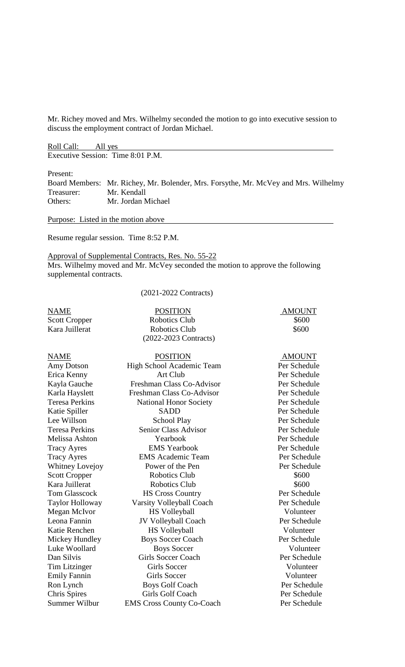Mr. Richey moved and Mrs. Wilhelmy seconded the motion to go into executive session to discuss the employment contract of Jordan Michael.

Roll Call: All yes Executive Session: Time 8:01 P.M.

Present:

Board Members: Mr. Richey, Mr. Bolender, Mrs. Forsythe, Mr. McVey and Mrs. Wilhelmy Treasurer: Mr. Kendall Others: Mr. Jordan Michael

Purpose: Listed in the motion above

Resume regular session. Time 8:52 P.M.

Approval of Supplemental Contracts, Res. No. 55-22 Mrs. Wilhelmy moved and Mr. McVey seconded the motion to approve the following supplemental contracts.

(2021-2022 Contracts)

| <b>NAME</b>            | <b>POSITION</b>                  | <b>AMOUNT</b> |
|------------------------|----------------------------------|---------------|
| <b>Scott Cropper</b>   | <b>Robotics Club</b>             | \$600         |
| Kara Juillerat         | <b>Robotics Club</b>             | \$600         |
|                        | (2022-2023 Contracts)            |               |
| <b>NAME</b>            | <b>POSITION</b>                  | <b>AMOUNT</b> |
| <b>Amy Dotson</b>      | High School Academic Team        | Per Schedule  |
| Erica Kenny            | Art Club                         | Per Schedule  |
| Kayla Gauche           | Freshman Class Co-Advisor        | Per Schedule  |
| Karla Hayslett         | Freshman Class Co-Advisor        | Per Schedule  |
| <b>Teresa Perkins</b>  | <b>National Honor Society</b>    | Per Schedule  |
| Katie Spiller          | <b>SADD</b>                      | Per Schedule  |
| Lee Willson            | <b>School Play</b>               | Per Schedule  |
| <b>Teresa Perkins</b>  | <b>Senior Class Advisor</b>      | Per Schedule  |
| Melissa Ashton         | Yearbook                         | Per Schedule  |
| <b>Tracy Ayres</b>     | <b>EMS</b> Yearbook              | Per Schedule  |
| <b>Tracy Ayres</b>     | <b>EMS</b> Academic Team         | Per Schedule  |
| <b>Whitney Lovejoy</b> | Power of the Pen                 | Per Schedule  |
| <b>Scott Cropper</b>   | <b>Robotics Club</b>             | \$600         |
| Kara Juillerat         | <b>Robotics Club</b>             | \$600         |
| <b>Tom Glasscock</b>   | <b>HS Cross Country</b>          | Per Schedule  |
| Taylor Holloway        | Varsity Volleyball Coach         | Per Schedule  |
| Megan McIvor           | <b>HS Volleyball</b>             | Volunteer     |
| Leona Fannin           | JV Volleyball Coach              | Per Schedule  |
| Katie Renchen          | <b>HS Volleyball</b>             | Volunteer     |
| Mickey Hundley         | <b>Boys Soccer Coach</b>         | Per Schedule  |
| Luke Woollard          | <b>Boys Soccer</b>               | Volunteer     |
| Dan Silvis             | <b>Girls Soccer Coach</b>        | Per Schedule  |
| <b>Tim Litzinger</b>   | <b>Girls Soccer</b>              | Volunteer     |
| <b>Emily Fannin</b>    | <b>Girls Soccer</b>              | Volunteer     |
| Ron Lynch              | <b>Boys Golf Coach</b>           | Per Schedule  |
| <b>Chris Spires</b>    | Girls Golf Coach                 | Per Schedule  |
| <b>Summer Wilbur</b>   | <b>EMS Cross County Co-Coach</b> | Per Schedule  |
|                        |                                  |               |